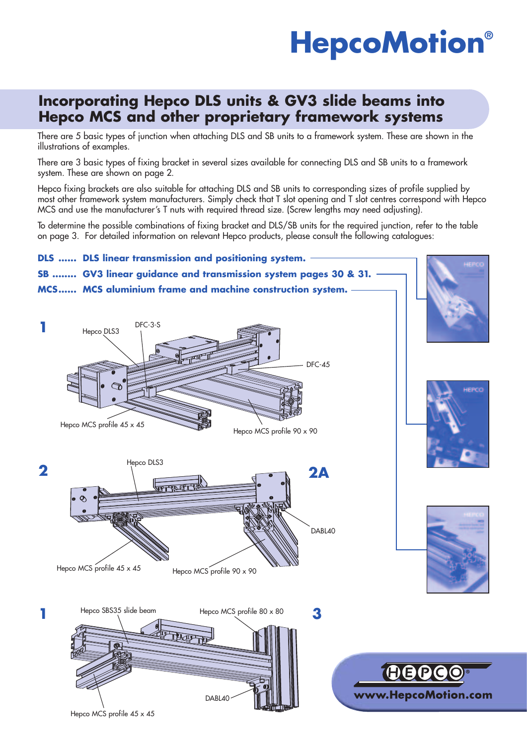# **HepcoMotion®**

### **Incorporating Hepco DLS units & GV3 slide beams into Hepco MCS and other proprietary framework systems**

There are 5 basic types of junction when attaching DLS and SB units to a framework system. These are shown in the illustrations of examples.

There are 3 basic types of fixing bracket in several sizes available for connecting DLS and SB units to a framework system. These are shown on page 2.

Hepco fixing brackets are also suitable for attaching DLS and SB units to corresponding sizes of profile supplied by most other framework system manufacturers. Simply check that T slot opening and T slot centres correspond with Hepco MCS and use the manufacturer's T nuts with required thread size. (Screw lengths may need adjusting).

To determine the possible combinations of fixing bracket and DLS/SB units for the required junction, refer to the table on page 3. For detailed information on relevant Hepco products, please consult the following catalogues:

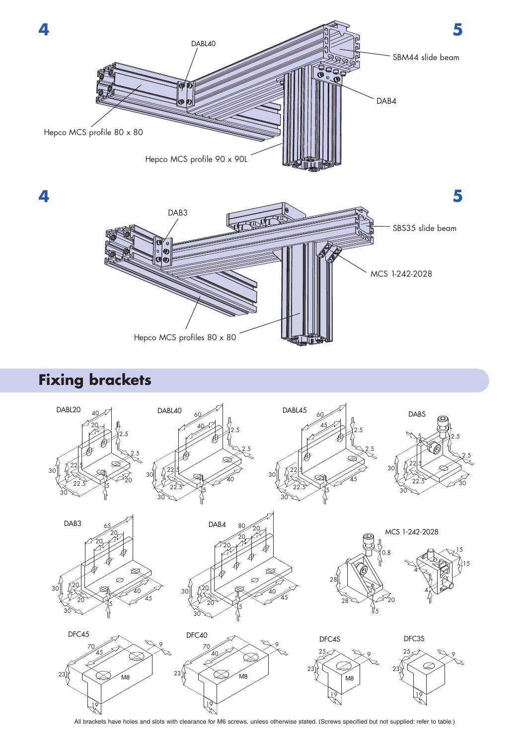

# **Fixing brackets**



All brackets have holes and slots with clearance for M6 screws, unless otherwise stated. (Screws specified but not supplied: refer to table.)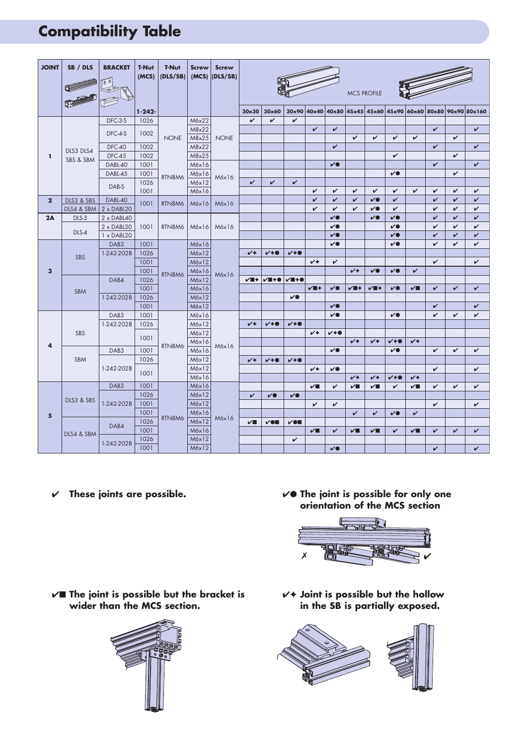# **Compatibility Table**

| <b>JOINT</b>    | SB / DLS               | <b>BRACKET</b><br>$\boxed{0}$<br>$\mathbb{S}^{\geqslant}$ | <b>T-Nut</b><br>(MCS) | <b>T-Nut</b><br>(DLS/SB) | <b>Screw</b><br>(MCS) | <b>Screw</b><br>(DIS/SB) | <b>MCS PROFILE</b>        |                 |              |                    |                   |                           |                              |                         |                |                   |                   |                   |
|-----------------|------------------------|-----------------------------------------------------------|-----------------------|--------------------------|-----------------------|--------------------------|---------------------------|-----------------|--------------|--------------------|-------------------|---------------------------|------------------------------|-------------------------|----------------|-------------------|-------------------|-------------------|
|                 |                        |                                                           | $1 - 242 -$           |                          |                       |                          | 30x30                     | 30x60           |              | 30x90 40x40        |                   | 40x80 45x45               |                              | 45x60 45x90 60x60 80x80 |                |                   |                   | 90x90 80x160      |
| I.              | DLS3 DLS4<br>SBS & SBM | DFC-3-S                                                   | 1026                  |                          | M6x22                 |                          | $\checkmark$              | $\checkmark$    | $\checkmark$ |                    |                   |                           |                              |                         |                |                   |                   |                   |
|                 |                        | DFC-4-S                                                   | 1002                  | <b>NONE</b><br>RTN8M6    | M8x22<br>M8x25        | <b>NONE</b>              |                           |                 |              | V                  | V                 | $\checkmark$              | $\checkmark$                 | V                       | V              | V                 | $\checkmark$      | $\checkmark$      |
|                 |                        | <b>DFC-40</b>                                             | 1002                  |                          | M8x22                 |                          |                           |                 |              |                    | $\checkmark$      |                           |                              |                         |                | $\checkmark$      |                   | $\checkmark$      |
|                 |                        | <b>DFC-45</b>                                             | 1002                  |                          | M8x25                 |                          |                           |                 |              |                    |                   |                           |                              | V                       |                |                   | $\checkmark$      |                   |
|                 |                        | DABL-40                                                   | 1001                  |                          | M6x16                 | M6x16                    |                           |                 |              |                    | V                 |                           |                              |                         |                | V                 |                   | V                 |
|                 |                        | DABL-45                                                   | 1001                  |                          | M6x16                 |                          |                           |                 |              |                    |                   |                           |                              | $\checkmark$            |                |                   | V                 |                   |
|                 |                        | DAB-S                                                     | 1026                  |                          | M6x12                 |                          | $\checkmark$              | $\checkmark$    | V            |                    |                   |                           |                              |                         |                |                   |                   |                   |
|                 |                        |                                                           | 1001                  |                          | M6x16                 |                          |                           |                 |              | V                  | V                 | V                         | $\checkmark$                 | $\checkmark$            | V              | V                 | V                 | V                 |
| $\overline{2}$  | DLS3 & SBS             | DABL-40                                                   | 1001                  | RTN8M6                   | Móx16                 | M6x16                    |                           |                 |              | V                  | V                 | V                         | $\checkmark$                 | V                       |                | V                 | $\checkmark$      | V                 |
| 2A              | DLS4 & SBM<br>DLS-3    | $2 \times DABL20$<br>$2 \times DABL40$                    |                       |                          |                       |                          |                           |                 |              | V                  | V<br>$\checkmark$ | V                         | $\checkmark$<br>$\checkmark$ | V<br>$\checkmark$       |                | V<br>$\checkmark$ | V<br>$\checkmark$ | V<br>$\checkmark$ |
|                 | DLS-4                  | $2 \times DABL20$                                         | 1001                  | RTN8M6                   | Móx16                 | M6x16                    |                           |                 |              |                    | $\checkmark$      |                           |                              | $\checkmark$            |                | V                 | $\checkmark$      | $\checkmark$      |
|                 |                        | 1 x DABL20                                                |                       |                          |                       |                          |                           |                 |              |                    | V                 |                           |                              | $\checkmark$            |                | V                 | V                 | $\checkmark$      |
| 3               | <b>SBS</b>             | DAB3                                                      | 1001                  | RTN8M6                   | M6x16                 | M6x16                    |                           |                 |              |                    | V                 |                           |                              | $\checkmark$            |                | V                 | $\checkmark$      | V                 |
|                 |                        | 1-242-2028                                                | 1026                  |                          | M6x12                 |                          | $\overline{\mathsf{v}^*}$ | $V + 0$         | $V + 0$      |                    |                   |                           |                              |                         |                |                   |                   |                   |
|                 |                        |                                                           | 1001                  |                          | M6x12                 |                          |                           |                 |              | $\overline{V}$     | V                 |                           |                              |                         |                | $\checkmark$      |                   | V                 |
|                 |                        |                                                           | 1001                  |                          | Móx16                 |                          |                           |                 |              |                    |                   | $\overline{V}$            | $\checkmark$                 | $\overline{\mathbf{v}}$ | $\checkmark$   |                   |                   |                   |
|                 | <b>SBM</b>             | DAB4<br>1-242-2028                                        | 1026                  |                          | M6x12                 |                          | $V$ if $+$                | $V = +0$        | $V = +0$     |                    |                   |                           |                              |                         |                |                   |                   |                   |
|                 |                        |                                                           | 1001                  |                          | M6x16                 |                          |                           |                 |              | $V \blacksquare +$ | $\checkmark$      | $V \blacksquare +$        | $V \blacksquare +$           | $\checkmark$            | $\sqrt{ }$     | V                 | $\checkmark$      | $\checkmark$      |
|                 |                        |                                                           | 1026                  |                          | M6x12                 |                          |                           |                 | $\checkmark$ |                    |                   |                           |                              |                         |                |                   |                   |                   |
|                 |                        |                                                           | 1001                  |                          | M6x12                 |                          |                           |                 |              |                    | V                 |                           |                              |                         |                | $\mathbf v$       |                   | $\checkmark$      |
| 4               | <b>SBS</b>             | DAB <sub>3</sub>                                          | 1001                  |                          | M6x16                 | M6x16                    |                           |                 |              |                    | V                 |                           |                              | $\checkmark$            |                | V                 | $\checkmark$      | $\checkmark$      |
|                 |                        | 1-242-2028                                                | 1026                  |                          | M6x12                 |                          | $\overline{\mathsf{v}^*}$ | $V + 0$         | $V + 0$      |                    |                   |                           |                              |                         |                |                   |                   |                   |
|                 |                        |                                                           | 1001                  | RTN8M6                   | M6x12                 |                          |                           |                 |              | $V^*$              | $V + 0$           |                           |                              |                         |                |                   |                   |                   |
|                 |                        |                                                           |                       |                          | M6x16                 |                          |                           |                 |              |                    |                   | $V^+$                     | $V +$                        | $V + 0$                 | $\overline{V}$ |                   |                   |                   |
|                 | <b>SBM</b>             | DAB <sub>3</sub>                                          | 1001<br>1026          |                          | M6x16<br>M6x12        |                          |                           |                 |              |                    | $\checkmark$      |                           |                              | $\checkmark$            |                | V                 | V                 | V                 |
|                 |                        | 1-242-2028                                                |                       |                          | M6x12                 |                          | $\overline{V}$            | $V + 0$         | $V + 0$      | $\checkmark$       | $\checkmark$      |                           |                              |                         |                | V                 |                   | $\checkmark$      |
|                 |                        |                                                           | 1001                  |                          | M6x16                 |                          |                           |                 |              |                    |                   | $\overline{\mathsf{v}^*}$ | V4                           | $V + 0$                 | V4             |                   |                   |                   |
| $5\phantom{.0}$ | DLS3 & SBS             | DAB <sub>3</sub>                                          | 1001                  |                          | M6x16                 | M6x16                    |                           |                 |              | $\sqrt{2}$         | V                 | $\sqrt{ }$                | ✓∎                           | V                       | $\sqrt{2}$     | V                 | $\checkmark$      | V                 |
|                 |                        | 1-242-2028                                                | 1026                  |                          | M6x12                 |                          | V                         | $\checkmark$    | $\checkmark$ |                    |                   |                           |                              |                         |                |                   |                   |                   |
|                 |                        |                                                           | 1001                  | RTN8M6                   | M6x12                 |                          |                           |                 |              | V                  | V                 |                           |                              |                         |                | V                 |                   | V                 |
|                 |                        |                                                           | 1001                  |                          | M6x16                 |                          |                           |                 |              |                    |                   | $\mathbf v$               | $\checkmark$                 | V                       | V              |                   |                   |                   |
|                 | DLS4 & SBM             | DAB4                                                      | 1026                  |                          | M6x12                 |                          | ✓∎                        | $\checkmark$ on | $V$ en       |                    |                   |                           |                              |                         |                |                   |                   |                   |
|                 |                        |                                                           | 1001                  |                          | M6x16                 |                          |                           |                 |              | $\sqrt{ }$         | $\checkmark$      | $\sqrt{2}$                | $\checkmark$                 | $\checkmark$            | $\checkmark$   | $\checkmark$      | V                 | $\checkmark$      |
|                 |                        | 1-242-2028                                                | 1026                  |                          | M6x12                 |                          |                           |                 | $\checkmark$ |                    |                   |                           |                              |                         |                |                   |                   |                   |
|                 |                        |                                                           | 1001                  |                          | M6x12                 |                          |                           |                 |              |                    | V                 |                           |                              |                         |                | $\checkmark$      |                   | $\checkmark$      |

- 
- ✔ **These joints are possible.** ✔● **The joint is possible for only one orientation of the MCS section**



✔■ **The joint is possible but the bracket is wider than the MCS section.**



✔✦ **Joint is possible but the hollow in the SB is partially exposed.**